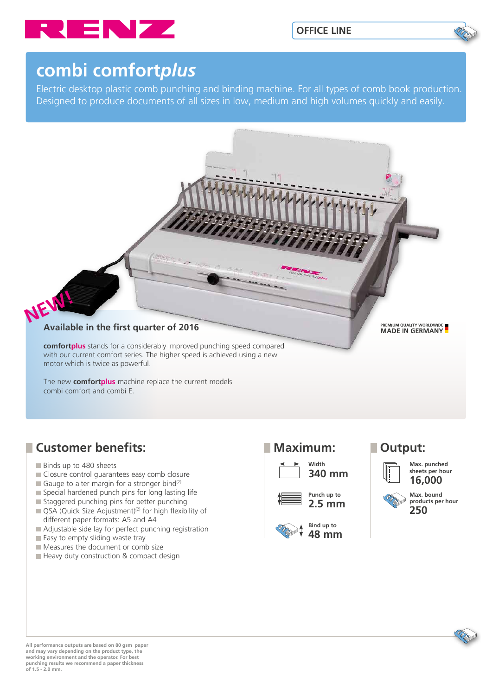

# **combi comfort***plus*

Electric desktop plastic comb punching and binding machine. For all types of comb book production. Designed to produce documents of all sizes in low, medium and high volumes quickly and easily.



The new **comfortplus** machine replace the current models combi comfort and combi E.

## **Customer benefits:**

- Binds up to 480 sheets
- Closure control quarantees easy comb closure
- Gauge to alter margin for a stronger bind<sup>(2)</sup>
- Special hardened punch pins for long lasting life
- Staggered punching pins for better punching
- $\Box$  QSA (Quick Size Adjustment)<sup>(2)</sup> for high flexibility of different paper formats: A5 and A4
- Adjustable side lay for perfect punching registration
- Easy to empty sliding waste tray
- Measures the document or comb size
- Heavy duty construction & compact design







**sheets per hour 16,000**



**All performance outputs are based on 80 gsm paper and may vary depending on the product type, the working environment and the operator. For best punching results we recommend a paper thickness of 1.5 - 2.0 mm.**